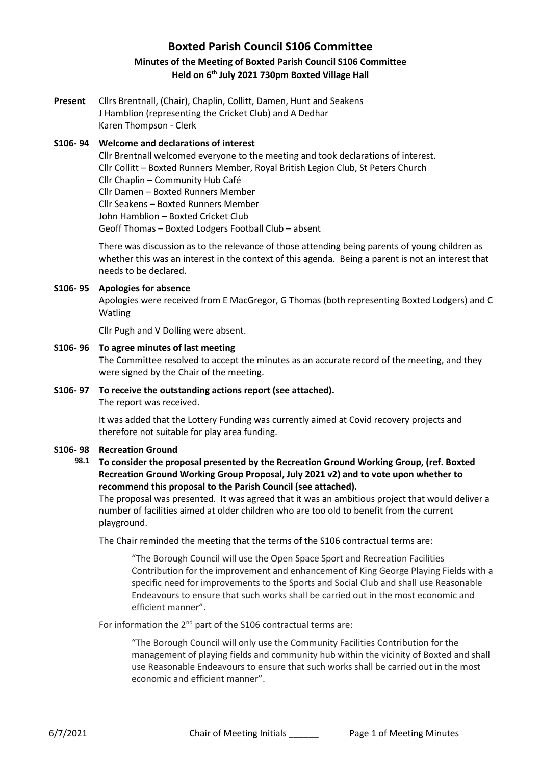# **Boxted Parish Council S106 Committee Minutes of the Meeting of Boxted Parish Council S106 Committee Held on 6 th July 2021 730pm Boxted Village Hall**

**Present** Cllrs Brentnall, (Chair), Chaplin, Collitt, Damen, Hunt and Seakens J Hamblion (representing the Cricket Club) and A Dedhar Karen Thompson - Clerk

## **S106- 94 Welcome and declarations of interest**

Cllr Brentnall welcomed everyone to the meeting and took declarations of interest. Cllr Collitt – Boxted Runners Member, Royal British Legion Club, St Peters Church Cllr Chaplin – Community Hub Café Cllr Damen – Boxted Runners Member Cllr Seakens – Boxted Runners Member John Hamblion – Boxted Cricket Club Geoff Thomas – Boxted Lodgers Football Club – absent

There was discussion as to the relevance of those attending being parents of young children as whether this was an interest in the context of this agenda. Being a parent is not an interest that needs to be declared.

# **S106- 95 Apologies for absence**

Apologies were received from E MacGregor, G Thomas (both representing Boxted Lodgers) and C Watling

Cllr Pugh and V Dolling were absent.

#### **S106- 96 To agree minutes of last meeting**

The Committee resolved to accept the minutes as an accurate record of the meeting, and they were signed by the Chair of the meeting.

# **S106- 97 To receive the outstanding actions report (see attached).**

The report was received.

It was added that the Lottery Funding was currently aimed at Covid recovery projects and therefore not suitable for play area funding.

# **S106- 98 Recreation Ground**

**98.1 To consider the proposal presented by the Recreation Ground Working Group, (ref. Boxted Recreation Ground Working Group Proposal, July 2021 v2) and to vote upon whether to recommend this proposal to the Parish Council (see attached).**

The proposal was presented. It was agreed that it was an ambitious project that would deliver a number of facilities aimed at older children who are too old to benefit from the current playground.

The Chair reminded the meeting that the terms of the S106 contractual terms are:

"The Borough Council will use the Open Space Sport and Recreation Facilities Contribution for the improvement and enhancement of King George Playing Fields with a specific need for improvements to the Sports and Social Club and shall use Reasonable Endeavours to ensure that such works shall be carried out in the most economic and efficient manner".

For information the 2<sup>nd</sup> part of the S106 contractual terms are:

"The Borough Council will only use the Community Facilities Contribution for the management of playing fields and community hub within the vicinity of Boxted and shall use Reasonable Endeavours to ensure that such works shall be carried out in the most economic and efficient manner".

6/7/2021 Chair of Meeting Initials \_\_\_\_\_\_ Page 1 of Meeting Minutes